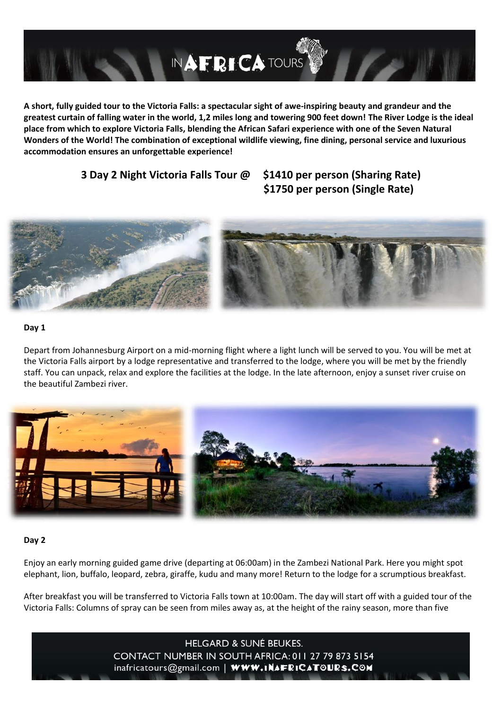

**A short, fully guided tour to the Victoria Falls: a spectacular sight of awe-inspiring beauty and grandeur and the greatest curtain of falling water in the world, 1,2 miles long and towering 900 feet down! The River Lodge is the ideal place from which to explore Victoria Falls, blending the African Safari experience with one of the Seven Natural Wonders of the World! The combination of exceptional wildlife viewing, fine dining, personal service and luxurious accommodation ensures an unforgettable experience!** 

## **3 Day 2 Night Victoria Falls Tour @ \$1410 per person (Sharing Rate)**

# **\$1750 per person (Single Rate)**



#### **Day 1**

Depart from Johannesburg Airport on a mid-morning flight where a light lunch will be served to you. You will be met at the Victoria Falls airport by a lodge representative and transferred to the lodge, where you will be met by the friendly staff. You can unpack, relax and explore the facilities at the lodge. In the late afternoon, enjoy a sunset river cruise on the beautiful Zambezi river.



#### **Day 2**

Enjoy an early morning guided game drive (departing at 06:00am) in the Zambezi National Park. Here you might spot elephant, lion, buffalo, leopard, zebra, giraffe, kudu and many more! Return to the lodge for a scrumptious breakfast.

After breakfast you will be transferred to Victoria Falls town at 10:00am. The day will start off with a guided tour of the Victoria Falls: Columns of spray can be seen from miles away as, at the height of the rainy season, more than five

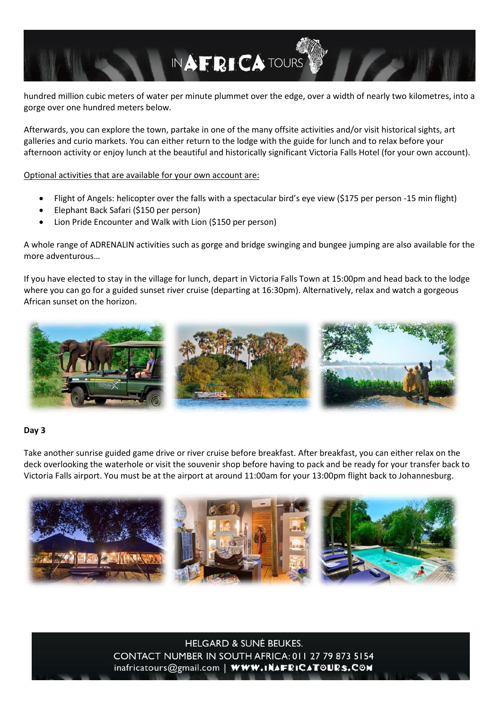hundred million cubic meters of water per minute plummet over the edge, over a width of nearly two kilometres, into a gorge over one hundred meters below.

INAFRICATOURS

Afterwards, you can explore the town, partake in one of the many offsite activities and/or visit historical sights, art galleries and curio markets. You can either return to the lodge with the guide for lunch and to relax before your afternoon activity or enjoy lunch at the beautiful and historically significant Victoria Falls Hotel (for your own account).

Optional activities that are available for your own account are:

- Flight of Angels: helicopter over the falls with a spectacular bird's eye view (\$175 per person -15 min flight)
- Elephant Back Safari (\$150 per person)
- Lion Pride Encounter and Walk with Lion (\$150 per person)

A whole range of ADRENALIN activities such as gorge and bridge swinging and bungee jumping are also available for the more adventurous…

If you have elected to stay in the village for lunch, depart in Victoria Falls Town at 15:00pm and head back to the lodge where you can go for a guided sunset river cruise (departing at 16:30pm). Alternatively, relax and watch a gorgeous African sunset on the horizon.



#### **Day 3**

Take another sunrise guided game drive or river cruise before breakfast. After breakfast, you can either relax on the deck overlooking the waterhole or visit the souvenir shop before having to pack and be ready for your transfer back to Victoria Falls airport. You must be at the airport at around 11:00am for your 13:00pm flight back to Johannesburg.



**HELGARD & SUNÉ BEUKES.** CONTACT NUMBER IN SOUTH AFRICA: 011 27 79 873 5154 inafricatours@gmail.com | WWW.INAFRICATOURS.COM